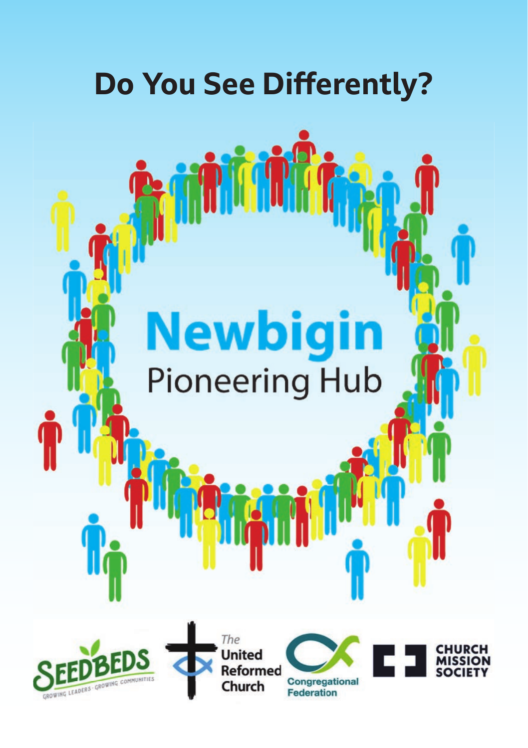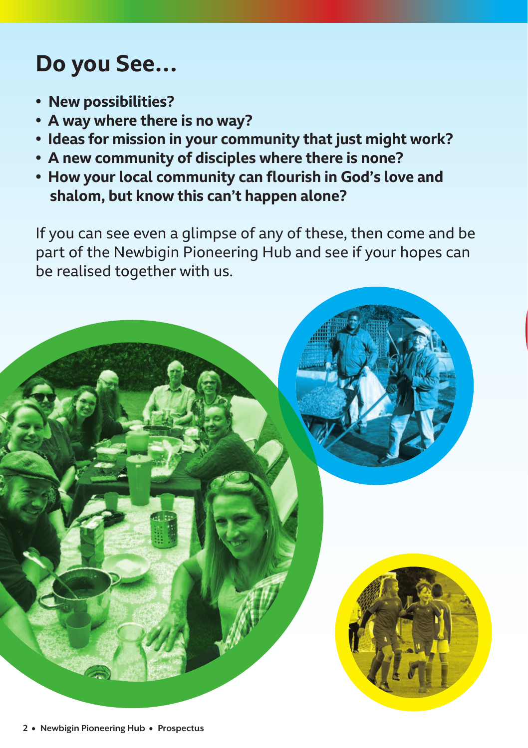# **Do you See…**

- **� New possibilities?**
- **� A way where there is no way?**
- **� Ideas for mission in your community that just might work?**
- **� A new community of disciples where there is none?**
- **� How your local community can flourish in God's love and shalom, but know this can't happen alone?**

If you can see even a glimpse of any of these, then come and be part of the Newbigin Pioneering Hub and see if your hopes can be realised together with us.

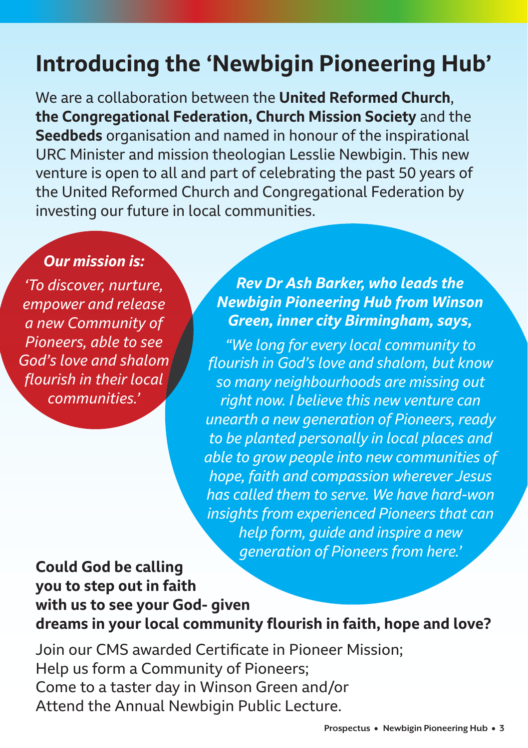# **Introducing the 'Newbigin Pioneering Hub'**

We are a collaboration between the **[United Reformed Church](https://urc.org.uk/)**, **[the Congregational Federation,](https://www.congregational.org.uk/) [Church Mission Society](https://churchmissionsociety.org/)** and the **[Seedbeds](https://seedbeds.org)** organisation and named in honour of the inspirational URC Minister and mission theologian Lesslie Newbigin. This new venture is open to all and part of celebrating the past 50 years of the United Reformed Church and Congregational Federation by investing our future in local communities.

#### *Our mission is:*

*'To discover, nurture, empower and release a new Community of Pioneers, able to see God's love and shalom flourish in their local communities.'* 

*Rev Dr Ash Barker, who leads the Newbigin Pioneering Hub from Winson Green, inner city Birmingham, says,*

*"We long for every local community to flourish in God's love and shalom, but know so many neighbourhoods are missing out right now. I believe this new venture can unearth a new generation of Pioneers, ready to be planted personally in local places and able to grow people into new communities of hope, faith and compassion wherever Jesus has called them to serve. We have hard-won insights from experienced Pioneers that can help form, guide and inspire a new generation of Pioneers from here.'* 

#### **Could God be calling you to step out in faith with us to see your God- given dreams in your local community flourish in faith, hope and love?**

Join our CMS awarded Certificate in Pioneer Mission; Help us form a Community of Pioneers; Come to a taster day in Winson Green and/or Attend the Annual Newbigin Public Lecture.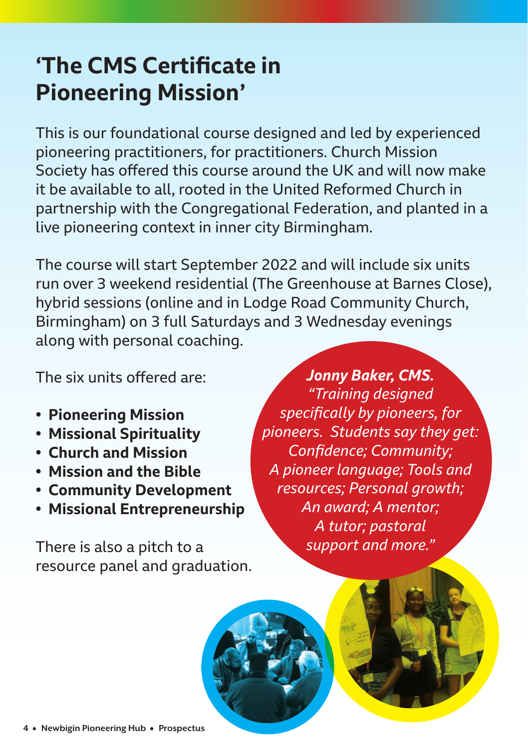# **'The CMS Certificate in Pioneering Mission'**

This is our foundational course designed and led by experienced pioneering practitioners, for practitioners. Church Mission Society has offered this course around the UK and will now make it be available to all, rooted in the United Reformed Church in partnership with the Congregational Federation, and planted in a live pioneering context in inner city Birmingham.

The course will start September 2022 and will include six units run over 3 weekend residential (The Greenhouse at Barnes Close), hybrid sessions (online and in Lodge Road Community Church, Birmingham) on 3 full Saturdays and 3 Wednesday evenings along with personal coaching.

The six units offered are:

- **� Pioneering Mission**
- **� Missional Spirituality**
- **� Church and Mission**
- **� Mission and the Bible**
- **� Community Development**
- **� Missional Entrepreneurship**

There is also a pitch to a resource panel and graduation.

*Jonny Baker, CMS. "Training designed specifi cally by pioneers, for pioneers. Students say they get:*  Confidence; Community; *A pioneer language; Tools and resources; Personal growth; An award; A mentor; A tutor; pastoral support and more."*

**4** • **Newbigin Pioneering Hub** • **Prospectus**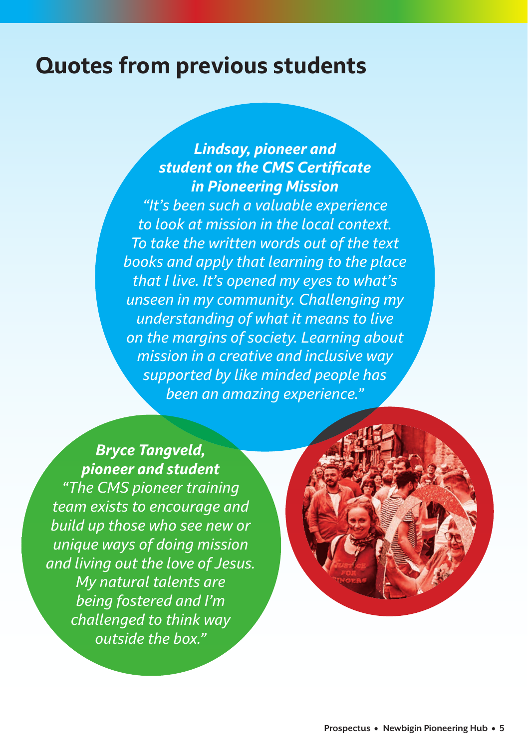### **Quotes from previous students**

#### *Lindsay, pioneer and* **student on the CMS Certificate** *in Pioneering Mission*

*"It's been such a valuable experience to look at mission in the local context. To take the written words out of the text books and apply that learning to the place that I live. It's opened my eyes to what's unseen in my community. Challenging my understanding of what it means to live on the margins of society. Learning about mission in a creative and inclusive way supported by like minded people has been an amazing experience."* 

#### *Bryce Tangveld, pioneer and student*

*"The CMS pioneer training team exists to encourage and build up those who see new or unique ways of doing mission and living out the love of Jesus. My natural talents are being fostered and I'm challenged to think way outside the box."*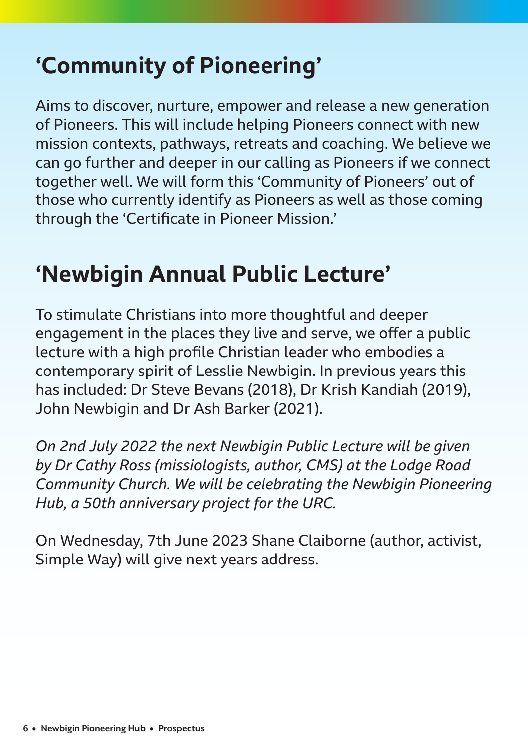# **'Community of Pioneering'**

Aims to discover, nurture, empower and release a new generation of Pioneers. This will include helping Pioneers connect with new mission contexts, pathways, retreats and coaching. We believe we can go further and deeper in our calling as Pioneers if we connect together well. We will form this 'Community of Pioneers' out of those who currently identify as Pioneers as well as those coming through the 'Certificate in Pioneer Mission.'

## **'Newbigin Annual Public Lecture'**

To stimulate Christians into more thoughtful and deeper engagement in the places they live and serve, we offer a public lecture with a high profile Christian leader who embodies a contemporary spirit of Lesslie Newbigin. In previous years this has included: Dr Steve Bevans (2018), Dr Krish Kandiah (2019), John Newbigin and Dr Ash Barker (2021).

*On 2nd July 2022 the next Newbigin Public Lecture will be given by Dr Cathy Ross (missiologists, author, CMS) at the Lodge Road Community Church. We will be celebrating the Newbigin Pioneering Hub, a 50th anniversary project for the URC.*

On Wednesday, 7th June 2023 Shane Claiborne (author, activist, Simple Way) will give next years address.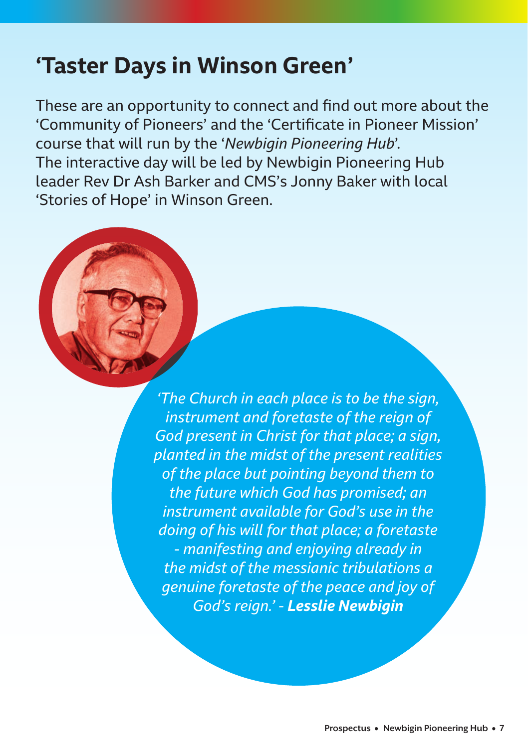### **'Taster Days in Winson Green'**

These are an opportunity to connect and find out more about the 'Community of Pioneers' and the 'Certificate in Pioneer Mission' course that will run by the '*Newbigin Pioneering Hub*'. The interactive day will be led by Newbigin Pioneering Hub leader Rev Dr Ash Barker and CMS's Jonny Baker with local 'Stories of Hope' in Winson Green.

> *'The Church in each place is to be the sign, instrument and foretaste of the reign of God present in Christ for that place; a sign, planted in the midst of the present realities of the place but pointing beyond them to the future which God has promised; an instrument available for God's use in the doing of his will for that place; a foretaste - manifesting and enjoying already in the midst of the messianic tribulations a genuine foretaste of the peace and joy of God's reign.' - Lesslie Newbigin*